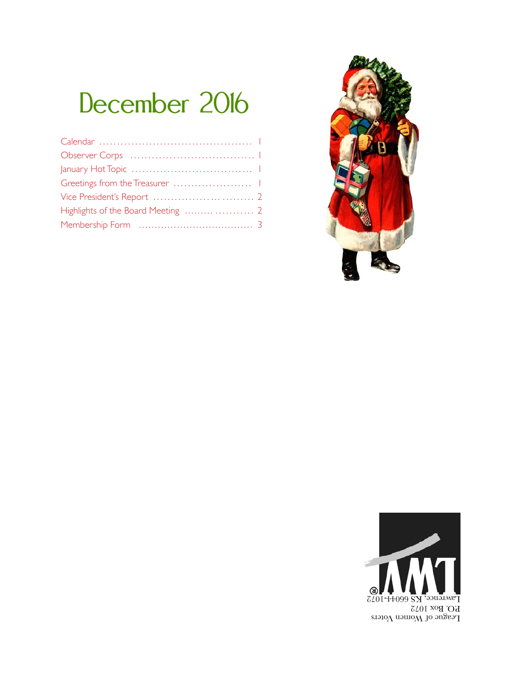# December 2016



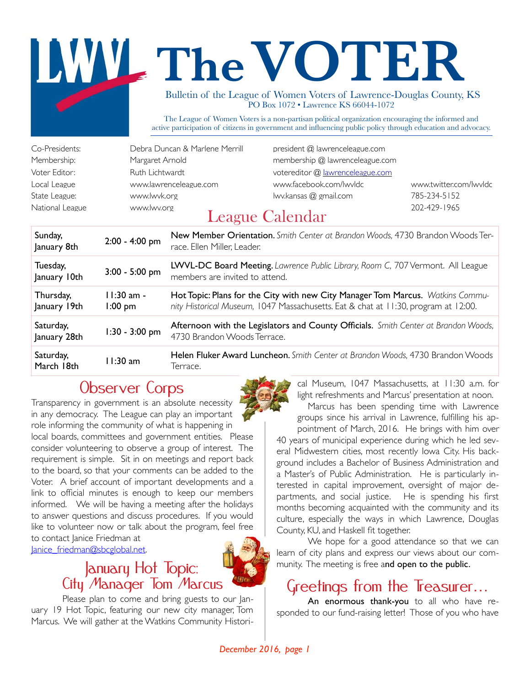# The VOTER

Bulletin of the League of Women Voters of Lawrence-Douglas County, KS PO Box 1072 • Lawrence KS 66044-1072

The League of Women Voters is a non-partisan political organization encouraging the informed and active participation of citizens in government and influencing public policy through education and advocacy.

| Co-Presidents:  | Debra Duncan & Marlene Merrill |
|-----------------|--------------------------------|
| Membership:     | Margaret Arnold                |
| Voter Editor:   | Ruth Lichtwardt                |
| Local League    | www.lawrenceleague.com         |
| State League:   | www.lwvk.org                   |
| National League | www.lwv.org                    |

president @ lawrenceleague.com membership @ lawrenceleague.com votereditor @ lawrenceleague.com www.facebook.com/lwvldc www.twitter.com/lwvldc

 $I$ wv.kansas  $\omega$  gmail.com 785-234-5152

### National League www.lwv.org 202-429-1965 League Calendar

| Sunday,<br>January 8th    | $2:00 - 4:00$ pm          | New Member Orientation. Smith Center at Brandon Woods, 4730 Brandon Woods Ter-<br>race. Ellen Miller, Leader.                                                        |
|---------------------------|---------------------------|----------------------------------------------------------------------------------------------------------------------------------------------------------------------|
| Tuesday,<br>January 10th  | $3:00 - 5:00$ pm          | LWVL-DC Board Meeting. Lawrence Public Library, Room C, 707 Vermont. All League<br>members are invited to attend.                                                    |
| Thursday,<br>January 19th | $11:30$ am -<br>$1:00$ pm | Hot Topic: Plans for the City with new City Manager Tom Marcus. Watkins Commu-<br>nity Historical Museum, 1047 Massachusetts. Eat & chat at 11:30, program at 12:00. |
| Saturday,<br>January 28th | $1:30 - 3:00$ pm          | Afternoon with the Legislators and County Officials. Smith Center at Brandon Woods,<br>4730 Brandon Woods Terrace.                                                   |
| Saturday,<br>March 18th   | $11:30$ am                | Helen Fluker Award Luncheon. Smith Center at Brandon Woods, 4730 Brandon Woods<br>lerrace.                                                                           |

### Observer Corps

Transparency in government is an absolute necessity in any democracy. The League can play an important role informing the community of what is happening in local boards, committees and government entities. Please consider volunteering to observe a group of interest. The requirement is simple. Sit in on meetings and report back to the board, so that your comments can be added to the Voter. A brief account of important developments and a link to official minutes is enough to keep our members informed. We will be having a meeting after the holidays to answer questions and discuss procedures. If you would like to volunteer now or talk about the program, feel free to contact Janice Friedman at

Janice\_friedman@sbcglobal.net.

### January Hot Topic: City Manager Tom Marcus

Please plan to come and bring guests to our January 19 Hot Topic, featuring our new city manager, Tom Marcus. We will gather at the Watkins Community Histori-



cal Museum, 1047 Massachusetts, at 11:30 a.m. for light refreshments and Marcus' presentation at noon.

Marcus has been spending time with Lawrence groups since his arrival in Lawrence, fulfilling his ap-

pointment of March, 2016. He brings with him over 40 years of municipal experience during which he led several Midwestern cities, most recently Iowa City. His background includes a Bachelor of Business Administration and a Master's of Public Administration. He is particularly interested in capital improvement, oversight of major departments, and social justice. He is spending his first months becoming acquainted with the community and its culture, especially the ways in which Lawrence, Douglas County, KU, and Haskell fit together.

We hope for a good attendance so that we can learn of city plans and express our views about our community. The meeting is free and open to the public.

## Greetings from the Treasurer...<br>An enormous thank-you to all who have re-

sponded to our fund-raising letter! Those of you who have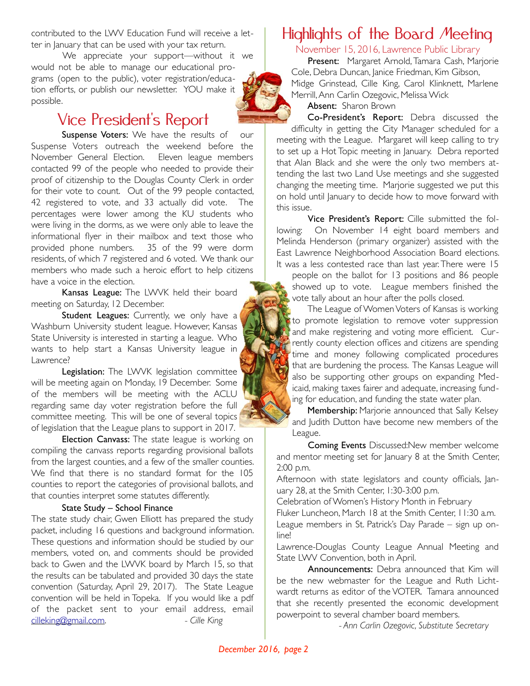contributed to the LWV Education Fund will receive a letter in January that can be used with your tax return.

We appreciate your support—without it we would not be able to manage our educational programs (open to the public), voter registration/education efforts, or publish our newsletter. YOU make it possible.

#### Vice President's Report

Suspense Voters: We have the results of our Suspense Voters outreach the weekend before the November General Election. Eleven league members contacted 99 of the people who needed to provide their proof of citizenship to the Douglas County Clerk in order for their vote to count. Out of the 99 people contacted, 42 registered to vote, and 33 actually did vote. The percentages were lower among the KU students who were living in the dorms, as we were only able to leave the informational flyer in their mailbox and text those who provided phone numbers. 35 of the 99 were dorm residents, of which 7 registered and 6 voted. We thank our members who made such a heroic effort to help citizens have a voice in the election.

Kansas League: The LWVK held their board meeting on Saturday, 12 December.

Student Leagues: Currently, we only have a Washburn University student league. However, Kansas State University is interested in starting a league. Who wants to help start a Kansas University league in Lawrence?

Legislation: The LWVK legislation committee will be meeting again on Monday, 19 December. Some of the members will be meeting with the ACLU regarding same day voter registration before the full committee meeting. This will be one of several topics of legislation that the League plans to support in 2017.

**Election Canvass:** The state league is working on compiling the canvass reports regarding provisional ballots from the largest counties, and a few of the smaller counties. We find that there is no standard format for the 105 counties to report the categories of provisional ballots, and that counties interpret some statutes differently.

#### State Study – School Finance

The state study chair, Gwen Elliott has prepared the study packet, including 16 questions and background information. These questions and information should be studied by our members, voted on, and comments should be provided back to Gwen and the LWVK board by March 15, so that the results can be tabulated and provided 30 days the state convention (Saturday, April 29, 2017). The State League convention will be held in Topeka. If you would like a pdf of the packet sent to your email address, email cilleking@gmail.com. *- Cille King*

### Highlights of the Board Meeting

November 15, 2016, Lawrence Public Library

Present: Margaret Arnold, Tamara Cash, Marjorie Cole, Debra Duncan, Janice Friedman, Kim Gibson, Midge Grinstead, Cille King, Carol Klinknett, Marlene Merrill, Ann Carlin Ozegovic, Melissa Wick

Absent: Sharon Brown

Co-President's Report: Debra discussed the difficulty in getting the City Manager scheduled for a meeting with the League. Margaret will keep calling to try to set up a Hot Topic meeting in January. Debra reported that Alan Black and she were the only two members attending the last two Land Use meetings and she suggested changing the meeting time. Marjorie suggested we put this on hold until January to decide how to move forward with this issue.

Vice President's Report: Cille submitted the following: On November 14 eight board members and Melinda Henderson (primary organizer) assisted with the East Lawrence Neighborhood Association Board elections. It was a less contested race than last year. There were 15

people on the ballot for 13 positions and 86 people showed up to vote. League members finished the vote tally about an hour after the polls closed.

The League of Women Voters of Kansas is working to promote legislation to remove voter suppression and make registering and voting more efficient. Currently county election offices and citizens are spending time and money following complicated procedures that are burdening the process. The Kansas League will also be supporting other groups on expanding Medicaid, making taxes fairer and adequate, increasing funding for education, and funding the state water plan.

Membership: Marjorie announced that Sally Kelsey and Judith Dutton have become new members of the League.

Coming Events Discussed:New member welcome and mentor meeting set for January 8 at the Smith Center, 2:00 p.m.

Afternoon with state legislators and county officials, January 28, at the Smith Center, 1:30-3:00 p.m.

Celebration of Women's History Month in February

Fluker Luncheon, March 18 at the Smith Center, 11:30 a.m. League members in St. Patrick's Day Parade – sign up online!

Lawrence-Douglas County League Annual Meeting and State LWV Convention, both in April.

Announcements: Debra announced that Kim will be the new webmaster for the League and Ruth Lichtwardt returns as editor of the VOTER. Tamara announced that she recently presented the economic development powerpoint to several chamber board members.

*- Ann Carlin Ozegovic, Substitute Secretary*